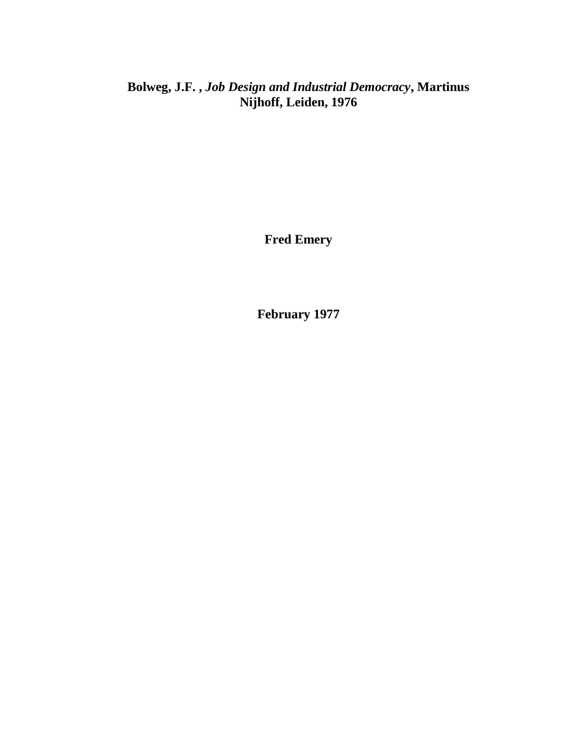**Bolweg, J.F. ,** *Job Design and Industrial Democracy***, Martinus Nijhoff, Leiden, 1976**

**Fred Emery**

**February 1977**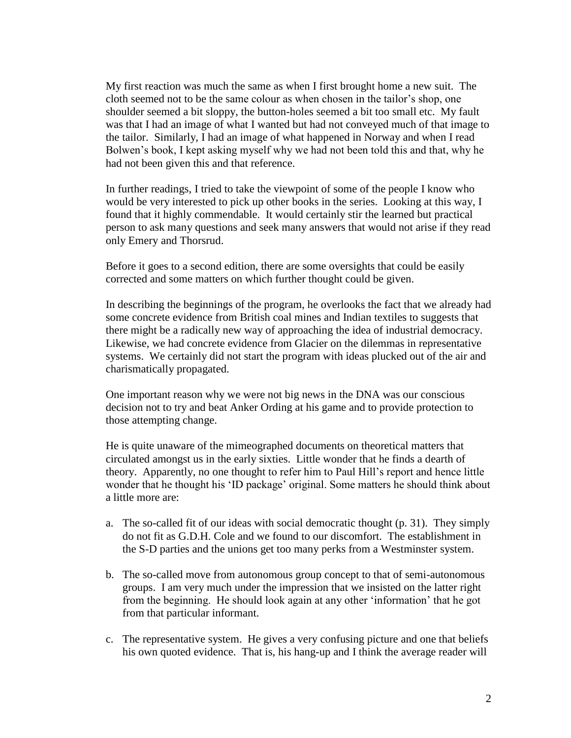My first reaction was much the same as when I first brought home a new suit. The cloth seemed not to be the same colour as when chosen in the tailor's shop, one shoulder seemed a bit sloppy, the button-holes seemed a bit too small etc. My fault was that I had an image of what I wanted but had not conveyed much of that image to the tailor. Similarly, I had an image of what happened in Norway and when I read Bolwen's book, I kept asking myself why we had not been told this and that, why he had not been given this and that reference.

In further readings, I tried to take the viewpoint of some of the people I know who would be very interested to pick up other books in the series. Looking at this way, I found that it highly commendable. It would certainly stir the learned but practical person to ask many questions and seek many answers that would not arise if they read only Emery and Thorsrud.

Before it goes to a second edition, there are some oversights that could be easily corrected and some matters on which further thought could be given.

In describing the beginnings of the program, he overlooks the fact that we already had some concrete evidence from British coal mines and Indian textiles to suggests that there might be a radically new way of approaching the idea of industrial democracy. Likewise, we had concrete evidence from Glacier on the dilemmas in representative systems. We certainly did not start the program with ideas plucked out of the air and charismatically propagated.

One important reason why we were not big news in the DNA was our conscious decision not to try and beat Anker Ording at his game and to provide protection to those attempting change.

He is quite unaware of the mimeographed documents on theoretical matters that circulated amongst us in the early sixties. Little wonder that he finds a dearth of theory. Apparently, no one thought to refer him to Paul Hill's report and hence little wonder that he thought his 'ID package' original. Some matters he should think about a little more are:

- a. The so-called fit of our ideas with social democratic thought (p. 31). They simply do not fit as G.D.H. Cole and we found to our discomfort. The establishment in the S-D parties and the unions get too many perks from a Westminster system.
- b. The so-called move from autonomous group concept to that of semi-autonomous groups. I am very much under the impression that we insisted on the latter right from the beginning. He should look again at any other 'information' that he got from that particular informant.
- c. The representative system. He gives a very confusing picture and one that beliefs his own quoted evidence. That is, his hang-up and I think the average reader will